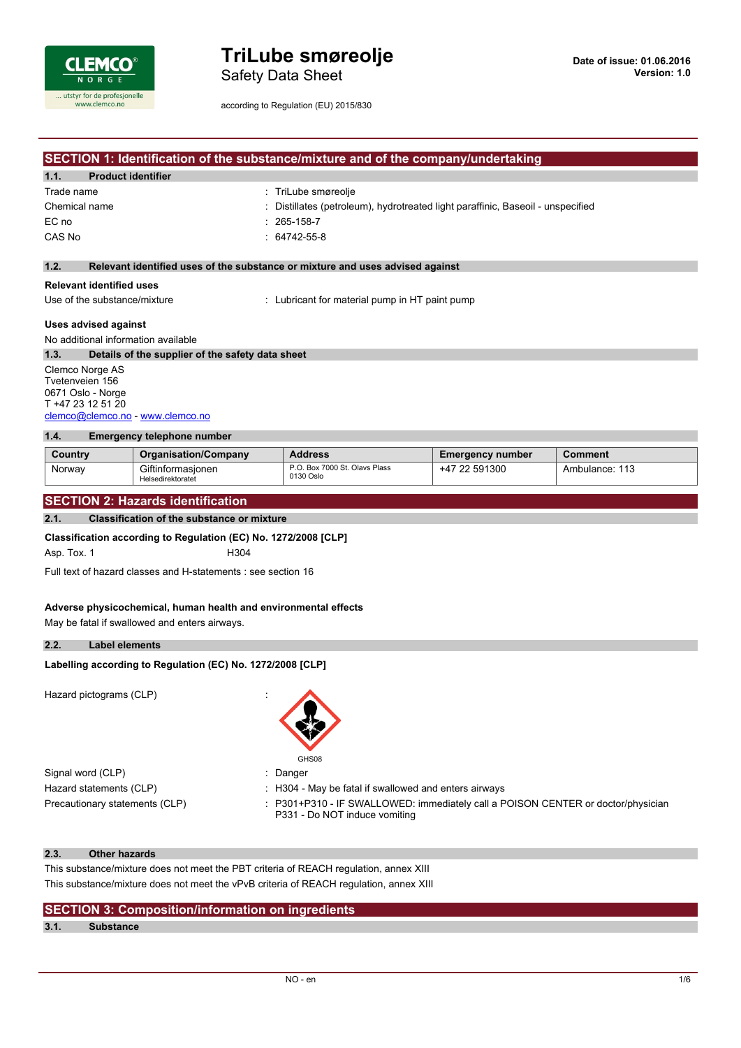

Safety Data Sheet

according to Regulation (EU) 2015/830

# **SECTION 1: Identification of the substance/mixture and of the company/undertaking**

| 1.1.<br><b>Product identifier</b> |                                                                                 |
|-----------------------------------|---------------------------------------------------------------------------------|
| Trade name                        | : TriLube smøreolje                                                             |
| Chemical name                     | : Distillates (petroleum), hydrotreated light paraffinic, Baseoil - unspecified |
| EC no                             | $: 265 - 158 - 7$                                                               |
| CAS No                            | $: 64742 - 55 - 8$                                                              |
|                                   |                                                                                 |

### **1.2. Relevant identified uses of the substance or mixture and uses advised against**

#### **Relevant identified uses**

Use of the substance/mixture : Lubricant for material pump in HT paint pump

### **Uses advised against**

No additional information available

**1.3. Details of the supplier of the safety data sheet** Clemco Norge AS Tvetenveien 156 0671 Oslo - Norge

T +47 23 12 51 20 [clemco@clemco.no](mailto:clemco@clemco.no) - <www.clemco.no>

#### **1.4. Emergency telephone number**

| Country | <b>Organisation/Company</b>            | <b>Address</b>                             | <b>Emergency number</b> | Comment        |
|---------|----------------------------------------|--------------------------------------------|-------------------------|----------------|
| Norway  | Giftinformasionen<br>Helsedirektoratet | P.O. Box 7000 St. Olavs Plass<br>0130 Oslo | +47 22 591300           | Ambulance: 113 |

### **SECTION 2: Hazards identification**

#### **2.1. Classification of the substance or mixture**

**Classification according to Regulation (EC) No. 1272/2008 [CLP]**

Asp. Tox. 1 H304

Full text of hazard classes and H-statements : see section 16

#### **Adverse physicochemical, human health and environmental effects**

May be fatal if swallowed and enters airways.

#### **2.2. Label elements**

#### **Labelling** according to Regulation (EC) No. 1272/2008 [CLP]

Hazard pictograms (CLP) :



Signal word (CLP)  $\qquad \qquad$ : Danger

- Hazard statements (CLP) : H304 May be fatal if swallowed and enters airways
- Precautionary statements (CLP) : P301+P310 IF SWALLOWED: immediately call a POISON CENTER or doctor/physician P331 - Do NOT induce vomiting

### **2.3. Other hazards**

This substance/mixture does not meet the PBT criteria of REACH regulation, annex XIII This substance/mixture does not meet the vPvB criteria of REACH regulation, annex XIII

### **SECTION 3: Composition/information on ingredients**

### **3.1. Substance**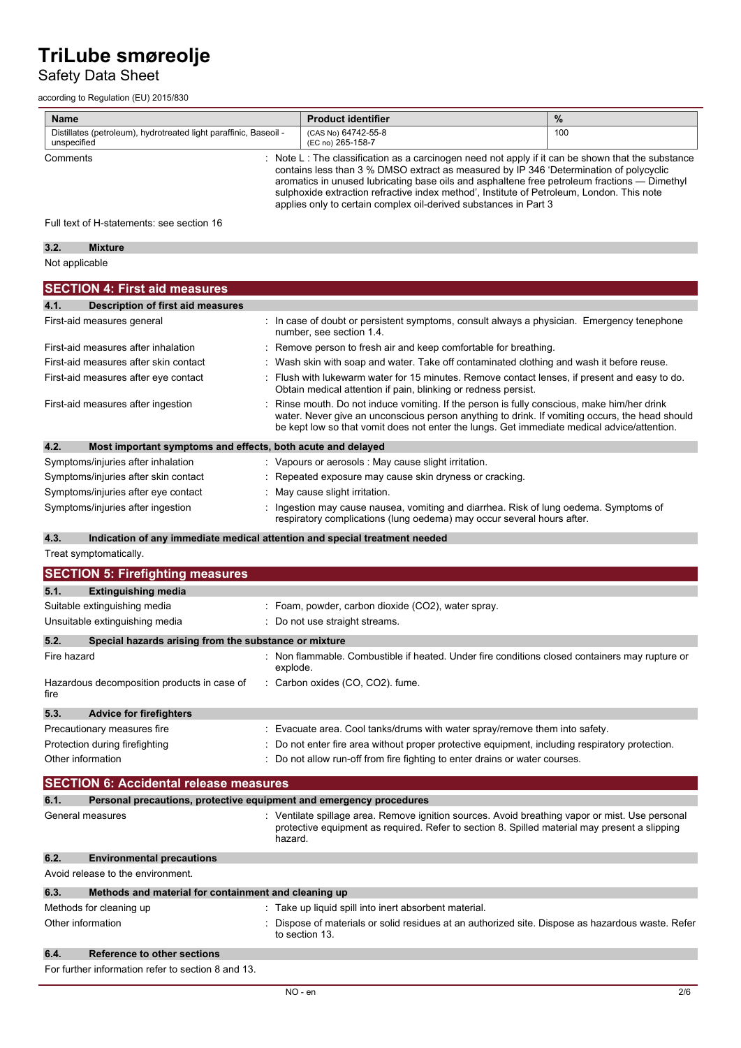# Safety Data Sheet

according to Regulation (EU) 2015/830

| <b>Name</b>                                                                      | <b>Product identifier</b>                                                                                                                                                                                                                                                                                                                                                                                                                                   | $\frac{9}{6}$ |
|----------------------------------------------------------------------------------|-------------------------------------------------------------------------------------------------------------------------------------------------------------------------------------------------------------------------------------------------------------------------------------------------------------------------------------------------------------------------------------------------------------------------------------------------------------|---------------|
| Distillates (petroleum), hydrotreated light paraffinic, Baseoil -<br>unspecified | (CAS No) 64742-55-8<br>(EC no) 265-158-7                                                                                                                                                                                                                                                                                                                                                                                                                    | 100           |
| Comments                                                                         | Note L : The classification as a carcinogen need not apply if it can be shown that the substance<br>contains less than 3 % DMSO extract as measured by IP 346 'Determination of polycyclic<br>aromatics in unused lubricating base oils and asphaltene free petroleum fractions — Dimethyl<br>sulphoxide extraction refractive index method', Institute of Petroleum, London. This note<br>applies only to certain complex oil-derived substances in Part 3 |               |

Full text of H-statements: see section 16

| <b>P</b><br>$\mathbf{v}$ | Mivture |  |
|--------------------------|---------|--|
| Ν٨<br><b>Annlicar-</b>   |         |  |

| <b>SECTION 4: First aid measures</b>                                |                                                                                                                                                                                                                                                                                            |
|---------------------------------------------------------------------|--------------------------------------------------------------------------------------------------------------------------------------------------------------------------------------------------------------------------------------------------------------------------------------------|
| 4.1.<br>Description of first aid measures                           |                                                                                                                                                                                                                                                                                            |
| First-aid measures general                                          | : In case of doubt or persistent symptoms, consult always a physician. Emergency tenephone<br>number, see section 1.4.                                                                                                                                                                     |
| First-aid measures after inhalation                                 | Remove person to fresh air and keep comfortable for breathing.                                                                                                                                                                                                                             |
| First-aid measures after skin contact                               | : Wash skin with soap and water. Take off contaminated clothing and wash it before reuse.                                                                                                                                                                                                  |
| First-aid measures after eye contact                                | : Flush with lukewarm water for 15 minutes. Remove contact lenses, if present and easy to do.<br>Obtain medical attention if pain, blinking or redness persist.                                                                                                                            |
| First-aid measures after ingestion                                  | Rinse mouth. Do not induce vomiting. If the person is fully conscious, make him/her drink<br>water. Never give an unconscious person anything to drink. If vomiting occurs, the head should<br>be kept low so that vomit does not enter the lungs. Get immediate medical advice/attention. |
| 4.2.<br>Most important symptoms and effects, both acute and delayed |                                                                                                                                                                                                                                                                                            |
| Symptoms/injuries after inhalation                                  | : Vapours or aerosols : May cause slight irritation.                                                                                                                                                                                                                                       |
| Symptoms/injuries after skin contact                                | : Repeated exposure may cause skin dryness or cracking.                                                                                                                                                                                                                                    |
| Symptoms/injuries after eye contact                                 | : May cause slight irritation.                                                                                                                                                                                                                                                             |
| Symptoms/injuries after ingestion                                   | Ingestion may cause nausea, vomiting and diarrhea. Risk of lung oedema. Symptoms of<br>respiratory complications (lung oedema) may occur several hours after.                                                                                                                              |
| 4.3.                                                                | Indication of any immediate medical attention and special treatment needed                                                                                                                                                                                                                 |

Treat symptomatically.

|             | <b>SECTION 5: Firefighting measures</b>               |                                                                                                                                                                                                             |
|-------------|-------------------------------------------------------|-------------------------------------------------------------------------------------------------------------------------------------------------------------------------------------------------------------|
| 5.1.        | <b>Extinguishing media</b>                            |                                                                                                                                                                                                             |
|             | Suitable extinguishing media                          | : Foam, powder, carbon dioxide (CO2), water spray.                                                                                                                                                          |
|             | Unsuitable extinguishing media                        | : Do not use straight streams.                                                                                                                                                                              |
| 5.2.        | Special hazards arising from the substance or mixture |                                                                                                                                                                                                             |
| Fire hazard |                                                       | Non flammable. Combustible if heated. Under fire conditions closed containers may rupture or<br>explode.                                                                                                    |
| fire        | Hazardous decomposition products in case of           | : Carbon oxides (CO, CO2). fume.                                                                                                                                                                            |
| 5.3.        | <b>Advice for firefighters</b>                        |                                                                                                                                                                                                             |
|             | Precautionary measures fire                           | : Evacuate area. Cool tanks/drums with water spray/remove them into safety.                                                                                                                                 |
|             | Protection during firefighting                        | Do not enter fire area without proper protective equipment, including respiratory protection.                                                                                                               |
|             | Other information                                     | Do not allow run-off from fire fighting to enter drains or water courses.                                                                                                                                   |
|             | <b>SECTION 6: Accidental release measures</b>         |                                                                                                                                                                                                             |
| 6.1.        |                                                       | Personal precautions, protective equipment and emergency procedures                                                                                                                                         |
|             | General measures                                      | : Ventilate spillage area. Remove ignition sources. Avoid breathing vapor or mist. Use personal<br>protective equipment as required. Refer to section 8. Spilled material may present a slipping<br>hazard. |
| 6.2.        | <b>Environmental precautions</b>                      |                                                                                                                                                                                                             |
|             | Avoid release to the environment.                     |                                                                                                                                                                                                             |
| 6.3.        | Methods and material for containment and cleaning up  |                                                                                                                                                                                                             |
|             | Methods for cleaning up                               | : Take up liquid spill into inert absorbent material.                                                                                                                                                       |
|             | Other information                                     | Dispose of materials or solid residues at an authorized site. Dispose as hazardous waste. Refer<br>to section 13.                                                                                           |
| 6.4.        | <b>Reference to other sections</b>                    |                                                                                                                                                                                                             |
|             | For further information refer to section 8 and 13.    |                                                                                                                                                                                                             |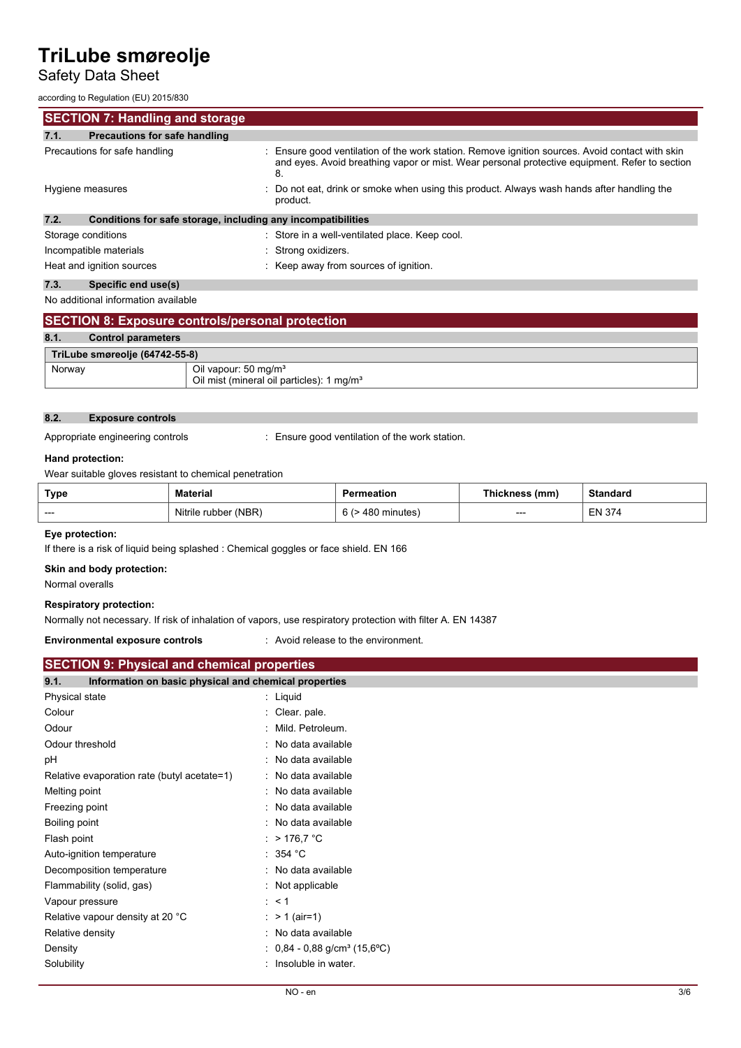# Safety Data Sheet

according to Regulation (EU) 2015/830

| according to requidition (LO) Zo is 600                              |                                                                                                                                                                                                        |
|----------------------------------------------------------------------|--------------------------------------------------------------------------------------------------------------------------------------------------------------------------------------------------------|
| <b>SECTION 7: Handling and storage</b>                               |                                                                                                                                                                                                        |
| <b>Precautions for safe handling</b><br>7.1.                         |                                                                                                                                                                                                        |
| Precautions for safe handling                                        | : Ensure good ventilation of the work station. Remove ignition sources. Avoid contact with skin<br>and eyes. Avoid breathing vapor or mist. Wear personal protective equipment. Refer to section<br>8. |
| Hygiene measures                                                     | : Do not eat, drink or smoke when using this product. Always wash hands after handling the<br>product.                                                                                                 |
| 7.2.<br>Conditions for safe storage, including any incompatibilities |                                                                                                                                                                                                        |
| Storage conditions                                                   | : Store in a well-ventilated place. Keep cool.                                                                                                                                                         |
| Incompatible materials                                               | : Strong oxidizers.                                                                                                                                                                                    |
| Heat and ignition sources                                            | : Keep away from sources of ignition.                                                                                                                                                                  |
| 7.3.<br>Specific end use(s)                                          |                                                                                                                                                                                                        |
| No additional information available                                  |                                                                                                                                                                                                        |

| <b>SECTION 8: Exposure controls/personal protection</b>                                             |  |  |
|-----------------------------------------------------------------------------------------------------|--|--|
| 8.1.<br><b>Control parameters</b>                                                                   |  |  |
| TriLube smøreolje (64742-55-8)                                                                      |  |  |
| Oil vapour: 50 mg/m <sup>3</sup><br>Norway<br>Oil mist (mineral oil particles): 1 mg/m <sup>3</sup> |  |  |

## **8.2. Exposure controls**

Appropriate engineering controls : Ensure good ventilation of the work station.

## **Hand protection:**

Wear suitable gloves resistant to chemical penetration

| Type | Material             | <b>Permeation</b>      | Thickness<br>(mm) | Standard      |
|------|----------------------|------------------------|-------------------|---------------|
| ---- | Nitrile rubber (NBR) | 6 G<br>480<br>minutes) | ---               | <b>EN 374</b> |

### **Eye protection:**

If there is a risk of liquid being splashed : Chemical goggles or face shield. EN 166

### **Skin and body protection:**

Normal overalls

## **Respiratory protection:**

Normally not necessary. If risk of inhalation of vapors, use respiratory protection with filter A. EN 14387

## **Environmental exposure controls** : Avoid release to the environment.

| <b>SECTION 9: Physical and chemical properties</b>            |  |  |
|---------------------------------------------------------------|--|--|
| 9.1.<br>Information on basic physical and chemical properties |  |  |
| : Liquid                                                      |  |  |
| : Clear pale.                                                 |  |  |
| : Mild. Petroleum.                                            |  |  |
| : No data available                                           |  |  |
| : No data available                                           |  |  |
| : No data available                                           |  |  |
| : No data available                                           |  |  |
| : No data available                                           |  |  |
| : No data available                                           |  |  |
| : $>176.7$ °C                                                 |  |  |
| : 354 °C                                                      |  |  |
| : No data available                                           |  |  |
| : Not applicable                                              |  |  |
| $\therefore$ < 1                                              |  |  |
| : $> 1$ (air=1)                                               |  |  |
| : No data available                                           |  |  |
| : $0,84 - 0,88$ g/cm <sup>3</sup> (15,6°C)                    |  |  |
| : Insoluble in water.                                         |  |  |
|                                                               |  |  |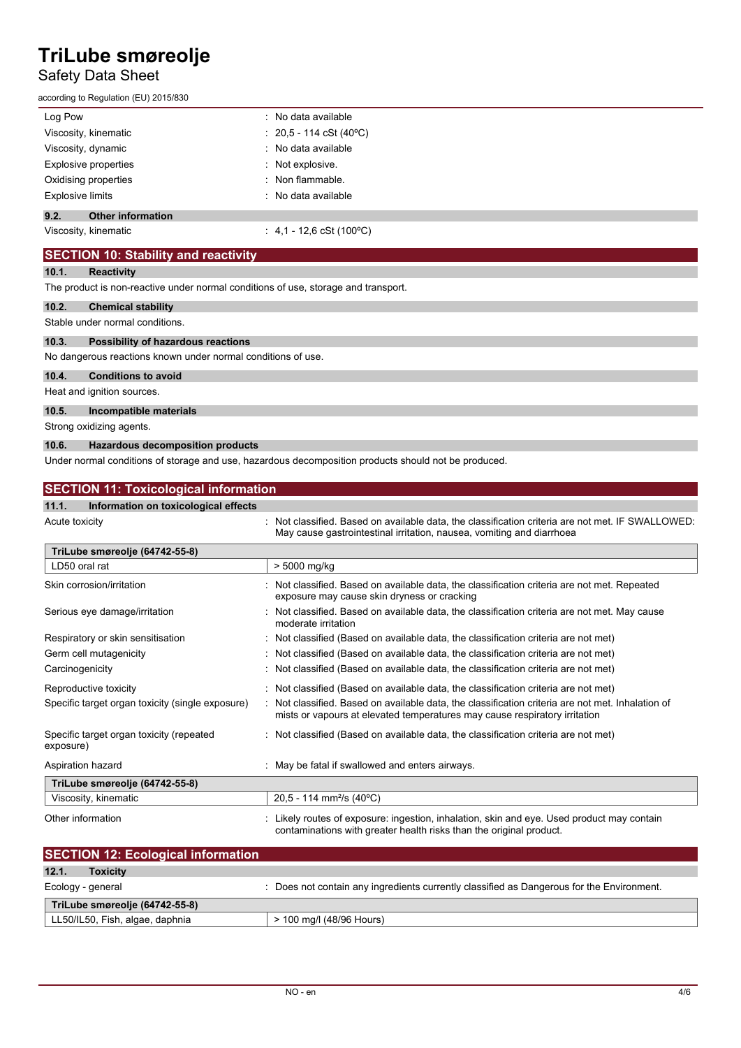# Safety Data Sheet

according to Regulation (EU) 2015/830

| Log Pow                          | : No data available               |
|----------------------------------|-----------------------------------|
| Viscosity, kinematic             | $: 20,5 - 114 \cSt (40^{\circ}C)$ |
| Viscosity, dynamic               | : No data available               |
| Explosive properties             | : Not explosive.                  |
| Oxidising properties             | $:$ Non flammable.                |
| <b>Explosive limits</b>          | : No data available               |
| 9.2.<br><b>Other information</b> |                                   |
| Viscosity, kinematic             | : 4,1 - 12,6 cSt (100 °C)         |

# **SECTION 10: Stability and reactivity**

### **10.1. Reactivity**

The product is non-reactive under normal conditions of use, storage and transport.

### **10.2. Chemical stability**

Stable under normal conditions.

#### **10.3. Possibility of hazardous reactions**

No dangerous reactions known under normal conditions of use.

### **10.4. Conditions to avoid**

Heat and ignition sources.

### **10.5. Incompatible materials**

Strong oxidizing agents.

### **10.6. Hazardous decomposition products**

Under normal conditions of storage and use, hazardous decomposition products should not be produced.

| <b>SECTION 11: Toxicological information</b>          |                                                                                                                                                                               |  |
|-------------------------------------------------------|-------------------------------------------------------------------------------------------------------------------------------------------------------------------------------|--|
| 11.1.<br>Information on toxicological effects         |                                                                                                                                                                               |  |
| Acute toxicity                                        | : Not classified. Based on available data, the classification criteria are not met. IF SWALLOWED:<br>May cause gastrointestinal irritation, nausea, vomiting and diarrhoea    |  |
| TriLube smøreolje (64742-55-8)                        |                                                                                                                                                                               |  |
| LD50 oral rat                                         | > 5000 mg/kg                                                                                                                                                                  |  |
| Skin corrosion/irritation                             | Not classified. Based on available data, the classification criteria are not met. Repeated<br>exposure may cause skin dryness or cracking                                     |  |
| Serious eye damage/irritation                         | Not classified. Based on available data, the classification criteria are not met. May cause<br>moderate irritation                                                            |  |
| Respiratory or skin sensitisation                     | : Not classified (Based on available data, the classification criteria are not met)                                                                                           |  |
| Germ cell mutagenicity                                | : Not classified (Based on available data, the classification criteria are not met)                                                                                           |  |
| Carcinogenicity                                       | : Not classified (Based on available data, the classification criteria are not met)                                                                                           |  |
| Reproductive toxicity                                 | : Not classified (Based on available data, the classification criteria are not met)                                                                                           |  |
| Specific target organ toxicity (single exposure)      | Not classified. Based on available data, the classification criteria are not met. Inhalation of<br>mists or vapours at elevated temperatures may cause respiratory irritation |  |
| Specific target organ toxicity (repeated<br>exposure) | : Not classified (Based on available data, the classification criteria are not met)                                                                                           |  |
| Aspiration hazard                                     | : May be fatal if swallowed and enters airways.                                                                                                                               |  |
| TriLube smøreolje (64742-55-8)                        |                                                                                                                                                                               |  |
| Viscosity, kinematic                                  | 20,5 - 114 mm <sup>2</sup> /s (40°C)                                                                                                                                          |  |
| Other information                                     | Likely routes of exposure: ingestion, inhalation, skin and eye. Used product may contain<br>contaminations with greater health risks than the original product.               |  |

| <b>SECTION 12: Ecological information</b> |                                                                                         |
|-------------------------------------------|-----------------------------------------------------------------------------------------|
| 12.1.<br><b>Toxicity</b>                  |                                                                                         |
| Ecology - general                         | Does not contain any ingredients currently classified as Dangerous for the Environment. |
| TriLube smøreolje (64742-55-8)            |                                                                                         |
| LL50/IL50, Fish, algae, daphnia           | > 100 mg/l (48/96 Hours)                                                                |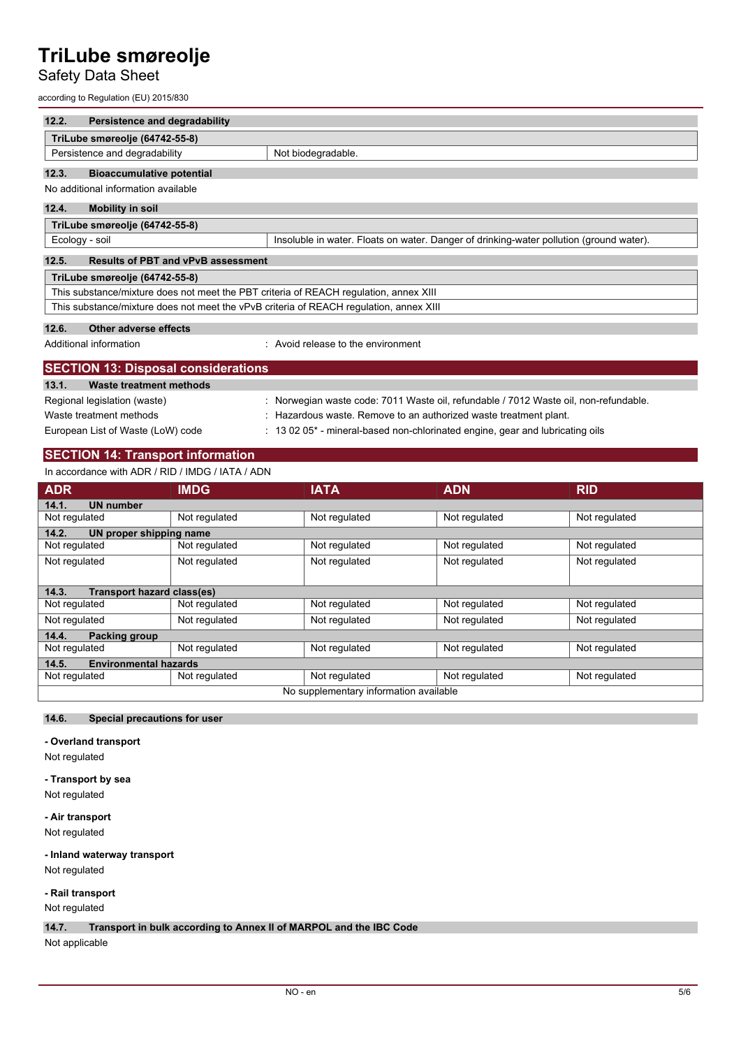# Safety Data Sheet

according to Regulation (EU) 2015/830

| 12.2.<br>Persistence and degradability                                                 |                                                                                         |  |  |  |
|----------------------------------------------------------------------------------------|-----------------------------------------------------------------------------------------|--|--|--|
| TriLube smøreolje (64742-55-8)                                                         |                                                                                         |  |  |  |
| Persistence and degradability                                                          | Not biodegradable.                                                                      |  |  |  |
| 12.3.<br><b>Bioaccumulative potential</b>                                              |                                                                                         |  |  |  |
| No additional information available                                                    |                                                                                         |  |  |  |
| 12.4.<br><b>Mobility in soil</b>                                                       |                                                                                         |  |  |  |
| TriLube smøreolje (64742-55-8)                                                         |                                                                                         |  |  |  |
| Ecology - soil                                                                         | Insoluble in water. Floats on water. Danger of drinking-water pollution (ground water). |  |  |  |
| 12.5.                                                                                  | <b>Results of PBT and vPvB assessment</b>                                               |  |  |  |
| TriLube smøreolje (64742-55-8)                                                         |                                                                                         |  |  |  |
| This substance/mixture does not meet the PBT criteria of REACH regulation, annex XIII  |                                                                                         |  |  |  |
| This substance/mixture does not meet the vPvB criteria of REACH requlation, annex XIII |                                                                                         |  |  |  |
| 12.6.<br>Other adverse effects                                                         |                                                                                         |  |  |  |
| Additional information                                                                 | $\therefore$ Avoid release to the environment                                           |  |  |  |
| <b>SECTION 13: Disposal considerations</b>                                             |                                                                                         |  |  |  |
| 13.1.<br>Waste treatment methods                                                       |                                                                                         |  |  |  |

| Regional legislation (waste)      | Norwegian waste code: 7011 Waste oil, refundable / 7012 Waste oil, non-refundable.    |
|-----------------------------------|---------------------------------------------------------------------------------------|
| Waste treatment methods           | Hazardous waste. Remove to an authorized waste treatment plant.                       |
| European List of Waste (LoW) code | $\pm$ 13 02 05 $^*$ - mineral-based non-chlorinated engine, gear and lubricating oils |

## **SECTION 14: Transport information**

In accordance with ADR / RID / IMDG / IATA / ADN

| <b>ADR</b>                             | <b>IMDG</b>   | <b>IATA</b>   | <b>ADN</b>    | <b>RID</b>    |  |  |
|----------------------------------------|---------------|---------------|---------------|---------------|--|--|
| <b>UN number</b><br>14.1.              |               |               |               |               |  |  |
| Not regulated                          | Not regulated | Not regulated | Not regulated | Not regulated |  |  |
| 14.2.<br>UN proper shipping name       |               |               |               |               |  |  |
| Not regulated                          | Not regulated | Not regulated | Not regulated | Not regulated |  |  |
| Not regulated                          | Not regulated | Not regulated | Not regulated | Not regulated |  |  |
|                                        |               |               |               |               |  |  |
| Transport hazard class(es)<br>14.3.    |               |               |               |               |  |  |
| Not regulated                          | Not regulated | Not regulated | Not regulated | Not regulated |  |  |
| Not regulated                          | Not regulated | Not regulated | Not regulated | Not regulated |  |  |
| 14.4.<br>Packing group                 |               |               |               |               |  |  |
| Not regulated                          | Not regulated | Not regulated | Not regulated | Not regulated |  |  |
| <b>Environmental hazards</b><br>14.5.  |               |               |               |               |  |  |
| Not regulated                          | Not regulated | Not regulated | Not regulated | Not regulated |  |  |
| No supplementary information available |               |               |               |               |  |  |

## **14.6. Special precautions for user**

**- Overland transport**

Not regulated

#### **- Transport by sea**

Not regulated

**- Air transport**

Not regulated

# **- Inland waterway transport**

Not regulated

### **- Rail transport** Not regulated

**14.7. Transport in bulk according to Annex II of MARPOL and the IBC Code**

Not applicable